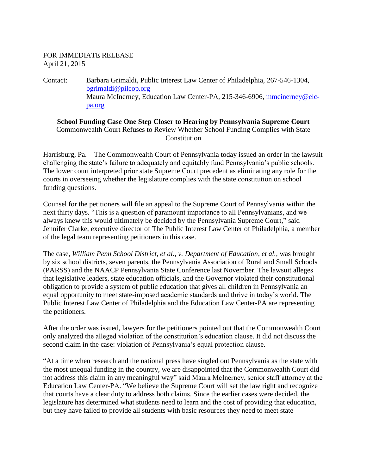## FOR IMMEDIATE RELEASE April 21, 2015

Contact: Barbara Grimaldi, Public Interest Law Center of Philadelphia, 267-546-1304, [bgrimaldi@pilcop.org](mailto:bgrimaldi@pilcop.org) Maura McInerney, Education Law Center-PA, 215-346-6906, [mmcinerney@elc](mailto:mmcinerney@elc-pa.org)[pa.org](mailto:mmcinerney@elc-pa.org)

## **School Funding Case One Step Closer to Hearing by Pennsylvania Supreme Court** Commonwealth Court Refuses to Review Whether School Funding Complies with State Constitution

Harrisburg, Pa. – The Commonwealth Court of Pennsylvania today issued an order in the lawsuit challenging the state's failure to adequately and equitably fund Pennsylvania's public schools. The lower court interpreted prior state Supreme Court precedent as eliminating any role for the courts in overseeing whether the legislature complies with the state constitution on school funding questions.

Counsel for the petitioners will file an appeal to the Supreme Court of Pennsylvania within the next thirty days. "This is a question of paramount importance to all Pennsylvanians, and we always knew this would ultimately be decided by the Pennsylvania Supreme Court," said Jennifer Clarke, executive director of The Public Interest Law Center of Philadelphia, a member of the legal team representing petitioners in this case.

The case, *William Penn School District, et al., v. Department of Education, et al.,* was brought by six school districts, seven parents, the Pennsylvania Association of Rural and Small Schools (PARSS) and the NAACP Pennsylvania State Conference last November. The lawsuit alleges that legislative leaders, state education officials, and the Governor violated their constitutional obligation to provide a system of public education that gives all children in Pennsylvania an equal opportunity to meet state-imposed academic standards and thrive in today's world. The Public Interest Law Center of Philadelphia and the Education Law Center-PA are representing the petitioners.

After the order was issued, lawyers for the petitioners pointed out that the Commonwealth Court only analyzed the alleged violation of the constitution's education clause. It did not discuss the second claim in the case: violation of Pennsylvania's equal protection clause.

"At a time when research and the national press have singled out Pennsylvania as the state with the most unequal funding in the country, we are disappointed that the Commonwealth Court did not address this claim in any meaningful way" said Maura McInerney, senior staff attorney at the Education Law Center-PA. "We believe the Supreme Court will set the law right and recognize that courts have a clear duty to address both claims. Since the earlier cases were decided, the legislature has determined what students need to learn and the cost of providing that education, but they have failed to provide all students with basic resources they need to meet state